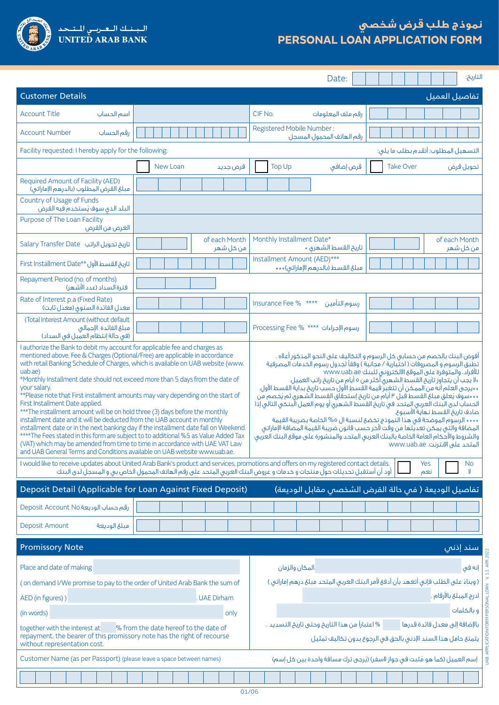

# **نموذج طلب قرض شخصي PERSONAL LOAN APPLICATION FORM**

|                                                                                                                                                                                                                                                                                                                                                                                                                                                                                                                                                                                                                                                                                                                                                                                                                                                                                                                                                                                                                                                                                                                                                                                                                                                                                                                                                                                                                                                                                                                                                                                                                                                                                                                                                                                                                                                                                                 |                                                                                                                                                                                                                                                                  | Date:                                                            | التاريخ:                                                                             |
|-------------------------------------------------------------------------------------------------------------------------------------------------------------------------------------------------------------------------------------------------------------------------------------------------------------------------------------------------------------------------------------------------------------------------------------------------------------------------------------------------------------------------------------------------------------------------------------------------------------------------------------------------------------------------------------------------------------------------------------------------------------------------------------------------------------------------------------------------------------------------------------------------------------------------------------------------------------------------------------------------------------------------------------------------------------------------------------------------------------------------------------------------------------------------------------------------------------------------------------------------------------------------------------------------------------------------------------------------------------------------------------------------------------------------------------------------------------------------------------------------------------------------------------------------------------------------------------------------------------------------------------------------------------------------------------------------------------------------------------------------------------------------------------------------------------------------------------------------------------------------------------------------|------------------------------------------------------------------------------------------------------------------------------------------------------------------------------------------------------------------------------------------------------------------|------------------------------------------------------------------|--------------------------------------------------------------------------------------|
| <b>Customer Details</b>                                                                                                                                                                                                                                                                                                                                                                                                                                                                                                                                                                                                                                                                                                                                                                                                                                                                                                                                                                                                                                                                                                                                                                                                                                                                                                                                                                                                                                                                                                                                                                                                                                                                                                                                                                                                                                                                         |                                                                                                                                                                                                                                                                  |                                                                  | تفاصيل العميل                                                                        |
| <b>Account Title</b><br>أسم الحساب                                                                                                                                                                                                                                                                                                                                                                                                                                                                                                                                                                                                                                                                                                                                                                                                                                                                                                                                                                                                                                                                                                                                                                                                                                                                                                                                                                                                                                                                                                                                                                                                                                                                                                                                                                                                                                                              |                                                                                                                                                                                                                                                                  | CIF No.<br>رقم ملف المعلومات                                     |                                                                                      |
| <b>Account Number</b><br>رقم الحساب                                                                                                                                                                                                                                                                                                                                                                                                                                                                                                                                                                                                                                                                                                                                                                                                                                                                                                                                                                                                                                                                                                                                                                                                                                                                                                                                                                                                                                                                                                                                                                                                                                                                                                                                                                                                                                                             |                                                                                                                                                                                                                                                                  | Registered Mobile Number:<br>رقم الهاتف المحمول المسجل           |                                                                                      |
| Facility requested: I hereby apply for the following:                                                                                                                                                                                                                                                                                                                                                                                                                                                                                                                                                                                                                                                                                                                                                                                                                                                                                                                                                                                                                                                                                                                                                                                                                                                                                                                                                                                                                                                                                                                                                                                                                                                                                                                                                                                                                                           |                                                                                                                                                                                                                                                                  |                                                                  | التسهيل المطلوب: أتقدم بطلب ما يلى:                                                  |
|                                                                                                                                                                                                                                                                                                                                                                                                                                                                                                                                                                                                                                                                                                                                                                                                                                                                                                                                                                                                                                                                                                                                                                                                                                                                                                                                                                                                                                                                                                                                                                                                                                                                                                                                                                                                                                                                                                 | New Loan<br>قرض جديد                                                                                                                                                                                                                                             | <b>Top Up</b><br>قرض إضافي                                       | <b>Take Over</b><br>تحويل قرض                                                        |
| Required Amount of Facility (AED)<br>مبلغ القرض المطلوب (بالدرهم الإماراتي)                                                                                                                                                                                                                                                                                                                                                                                                                                                                                                                                                                                                                                                                                                                                                                                                                                                                                                                                                                                                                                                                                                                                                                                                                                                                                                                                                                                                                                                                                                                                                                                                                                                                                                                                                                                                                     |                                                                                                                                                                                                                                                                  |                                                                  |                                                                                      |
| Country of Usage of Funds<br>البلد الذق سوف يُستخدم فيه القرض                                                                                                                                                                                                                                                                                                                                                                                                                                                                                                                                                                                                                                                                                                                                                                                                                                                                                                                                                                                                                                                                                                                                                                                                                                                                                                                                                                                                                                                                                                                                                                                                                                                                                                                                                                                                                                   |                                                                                                                                                                                                                                                                  |                                                                  |                                                                                      |
| Purpose of The Loan Facility<br>الغرض من القرض                                                                                                                                                                                                                                                                                                                                                                                                                                                                                                                                                                                                                                                                                                                                                                                                                                                                                                                                                                                                                                                                                                                                                                                                                                                                                                                                                                                                                                                                                                                                                                                                                                                                                                                                                                                                                                                  |                                                                                                                                                                                                                                                                  |                                                                  |                                                                                      |
| تاريخ تحويل الراتب Salary Transfer Date                                                                                                                                                                                                                                                                                                                                                                                                                                                                                                                                                                                                                                                                                                                                                                                                                                                                                                                                                                                                                                                                                                                                                                                                                                                                                                                                                                                                                                                                                                                                                                                                                                                                                                                                                                                                                                                         | of each Month<br>من كل شهر                                                                                                                                                                                                                                       | Monthly Installment Date*<br>تاريخ القسط الشهرى *                | of each Month<br>من كل شهر                                                           |
| تاريخ القسط الأول **First Installment Date                                                                                                                                                                                                                                                                                                                                                                                                                                                                                                                                                                                                                                                                                                                                                                                                                                                                                                                                                                                                                                                                                                                                                                                                                                                                                                                                                                                                                                                                                                                                                                                                                                                                                                                                                                                                                                                      |                                                                                                                                                                                                                                                                  | Installment Amount (AED)***<br>مبلغ القسط (بالدرهم الإماراتي)*** |                                                                                      |
| Repayment Period (no. of months)<br>فترة السداد (عدد الأشهر)                                                                                                                                                                                                                                                                                                                                                                                                                                                                                                                                                                                                                                                                                                                                                                                                                                                                                                                                                                                                                                                                                                                                                                                                                                                                                                                                                                                                                                                                                                                                                                                                                                                                                                                                                                                                                                    |                                                                                                                                                                                                                                                                  |                                                                  |                                                                                      |
| Rate of Interest p.a (Fixed Rate)<br>معدل الفائدة السنوق (معدل ثابت)                                                                                                                                                                                                                                                                                                                                                                                                                                                                                                                                                                                                                                                                                                                                                                                                                                                                                                                                                                                                                                                                                                                                                                                                                                                                                                                                                                                                                                                                                                                                                                                                                                                                                                                                                                                                                            |                                                                                                                                                                                                                                                                  | Insurance Fee % ****<br>رسوم التأمين                             |                                                                                      |
| (Total Interest Amount (without default<br>مبلغ الفائدة الإجمالى<br>(فَي حالة إنتظام العميل في السداد)                                                                                                                                                                                                                                                                                                                                                                                                                                                                                                                                                                                                                                                                                                                                                                                                                                                                                                                                                                                                                                                                                                                                                                                                                                                                                                                                                                                                                                                                                                                                                                                                                                                                                                                                                                                          |                                                                                                                                                                                                                                                                  | رسوم الإجراءات **** Processing Fee %                             |                                                                                      |
| I authorize the Bank to debit my account for applicable fee and charges as<br>mentioned above. Fee & Charges (Optional/Free) are applicable in accordance<br>أفوض البنك بالخصم من حسابي كل الرسوم و التكاليف على النحو المذكور أعلاه .<br>with retail Banking Schedule of Charges, which is available on UAB website (www.<br>تطبق الرسوم و المصروفات ( اختِّيارية / مجانية ) وفقاً لجدول رسوم الخدمات المصرفية<br>uab.ae)<br>للأفراد، والمتوفرة على الموقع الالكتروني للبنك www.uab.ae<br>*Monthly Installment date should not exceed more than 5 days from the date of<br>«لا يجب أن يتجاوز تاريخ القسط الشهرى آكثر من ٥ أيام من تاريخ راتب العميل.<br>**يرجى العلم أنه من الممكن أن تتغير ً قيمة القّسط الأولّ حسب تاريخ بداية القسط الأول.<br>your salary.<br>**Please note that First installment amounts may vary depending on the start of<br>***سوف يُعلق مبلغ القسط قبل ٣ أيام من تاريخ إستحقاق القسط الشهرى ثم يُخصم من<br>First Installment Date applied.<br>الحساب لدق البنك العربى المتحد فى تاريخ القسط الشهرى أو يوم العمل البنكى التالى إذا<br>*** The installment amount will be on hold three (3) days before the monthly<br>صادف تاريخ القسط نهاية الأسبوع.<br>installment date and it will be deducted from the UAB account in monthly<br>**** الرسوم الموضحة فى هذا النموذج تخضع لنسبة ال ٥% الخاصة بضريبة القيمة<br>installment date or in the next banking day if the installment date fall on Weekend.<br>المضافة والتى يمكن تعديلها من وقت لآخر حسب قانون ضريبة القيمة المضافة الإماراتي<br>**** The Fees stated in this form are subject to to additional %5 as Value Added Tax<br>والشروط والأحكام العامة الخاصة بالبنك العربى المتحد والمنشورة على موقع البنك العربى<br>(VAT) which may be amended from time to time in accordance with UAE VAT Law<br>المتحد على الانترنت. www.uab.ae<br>and UAB General Terms and Conditions available on UAB website www.uab.ae. |                                                                                                                                                                                                                                                                  |                                                                  |                                                                                      |
|                                                                                                                                                                                                                                                                                                                                                                                                                                                                                                                                                                                                                                                                                                                                                                                                                                                                                                                                                                                                                                                                                                                                                                                                                                                                                                                                                                                                                                                                                                                                                                                                                                                                                                                                                                                                                                                                                                 | I would like to receive updates about United Arab Bank's product and services, promotions and offers on my registered contact details.<br>أود أن أستقبل تحديثات حول منتجات و خدمات و عروض البنك العربى المتحد على رقم الهاتف المحمول الخاص بى و المسجل لدى البنك |                                                                  | Yes<br>N <sub>o</sub><br>ш<br>نعم                                                    |
| Deposit Detail (Applicable for Loan Against Fixed Deposit)                                                                                                                                                                                                                                                                                                                                                                                                                                                                                                                                                                                                                                                                                                                                                                                                                                                                                                                                                                                                                                                                                                                                                                                                                                                                                                                                                                                                                                                                                                                                                                                                                                                                                                                                                                                                                                      |                                                                                                                                                                                                                                                                  |                                                                  | تفاصيل الوديعة ( فس حالة القرض الشخصص مقابل الوديعة)                                 |
| رقم حساب الوديعة.Deposit Account No                                                                                                                                                                                                                                                                                                                                                                                                                                                                                                                                                                                                                                                                                                                                                                                                                                                                                                                                                                                                                                                                                                                                                                                                                                                                                                                                                                                                                                                                                                                                                                                                                                                                                                                                                                                                                                                             |                                                                                                                                                                                                                                                                  |                                                                  |                                                                                      |
| Deposit Amount<br>مبلغ الوديعة                                                                                                                                                                                                                                                                                                                                                                                                                                                                                                                                                                                                                                                                                                                                                                                                                                                                                                                                                                                                                                                                                                                                                                                                                                                                                                                                                                                                                                                                                                                                                                                                                                                                                                                                                                                                                                                                  |                                                                                                                                                                                                                                                                  |                                                                  |                                                                                      |
| <b>Promissory Note</b>                                                                                                                                                                                                                                                                                                                                                                                                                                                                                                                                                                                                                                                                                                                                                                                                                                                                                                                                                                                                                                                                                                                                                                                                                                                                                                                                                                                                                                                                                                                                                                                                                                                                                                                                                                                                                                                                          |                                                                                                                                                                                                                                                                  |                                                                  | سند إذني                                                                             |
| Place and date of making                                                                                                                                                                                                                                                                                                                                                                                                                                                                                                                                                                                                                                                                                                                                                                                                                                                                                                                                                                                                                                                                                                                                                                                                                                                                                                                                                                                                                                                                                                                                                                                                                                                                                                                                                                                                                                                                        |                                                                                                                                                                                                                                                                  | المكان والزمان                                                   | إنه في                                                                               |
| (on demand I/We promise to pay to the order of United Arab Bank the sum of                                                                                                                                                                                                                                                                                                                                                                                                                                                                                                                                                                                                                                                                                                                                                                                                                                                                                                                                                                                                                                                                                                                                                                                                                                                                                                                                                                                                                                                                                                                                                                                                                                                                                                                                                                                                                      |                                                                                                                                                                                                                                                                  |                                                                  | ( وبناءَ على الطلب فإني أتعهد بأن أدفعَ لأمر البنك العربي المتحد مبلغ درهم إماراتي ) |
| AED (in figures))                                                                                                                                                                                                                                                                                                                                                                                                                                                                                                                                                                                                                                                                                                                                                                                                                                                                                                                                                                                                                                                                                                                                                                                                                                                                                                                                                                                                                                                                                                                                                                                                                                                                                                                                                                                                                                                                               | <b>UAE Dirham</b>                                                                                                                                                                                                                                                |                                                                  | ادرج المبلغ بالأرقام .                                                               |
| (in words)                                                                                                                                                                                                                                                                                                                                                                                                                                                                                                                                                                                                                                                                                                                                                                                                                                                                                                                                                                                                                                                                                                                                                                                                                                                                                                                                                                                                                                                                                                                                                                                                                                                                                                                                                                                                                                                                                      | only                                                                                                                                                                                                                                                             | % اعتباراً من هذا التاريخ وحتى تاريخ التسديد .                   | و بالكلمات<br>بالإضافة إلى معدل فائدة قدرها                                          |
| % from the date hereof to the date of<br>together with the interest at<br>repayment. the bearer of this promissory note has the right of recourse<br>يتمتع حامل هذا السند الإذنى بالحق فى الرجوع بدون تكاليف تمثيل<br>without representation cost.                                                                                                                                                                                                                                                                                                                                                                                                                                                                                                                                                                                                                                                                                                                                                                                                                                                                                                                                                                                                                                                                                                                                                                                                                                                                                                                                                                                                                                                                                                                                                                                                                                              |                                                                                                                                                                                                                                                                  |                                                                  |                                                                                      |
| Customer Name (as per Passport) (please leave a space between names)<br>إسم العميل (كما هو مُثبت في جواز لاسفر) (يُرجى ترك مسافة واحدة بين كل إسم)                                                                                                                                                                                                                                                                                                                                                                                                                                                                                                                                                                                                                                                                                                                                                                                                                                                                                                                                                                                                                                                                                                                                                                                                                                                                                                                                                                                                                                                                                                                                                                                                                                                                                                                                              |                                                                                                                                                                                                                                                                  |                                                                  |                                                                                      |
|                                                                                                                                                                                                                                                                                                                                                                                                                                                                                                                                                                                                                                                                                                                                                                                                                                                                                                                                                                                                                                                                                                                                                                                                                                                                                                                                                                                                                                                                                                                                                                                                                                                                                                                                                                                                                                                                                                 |                                                                                                                                                                                                                                                                  |                                                                  |                                                                                      |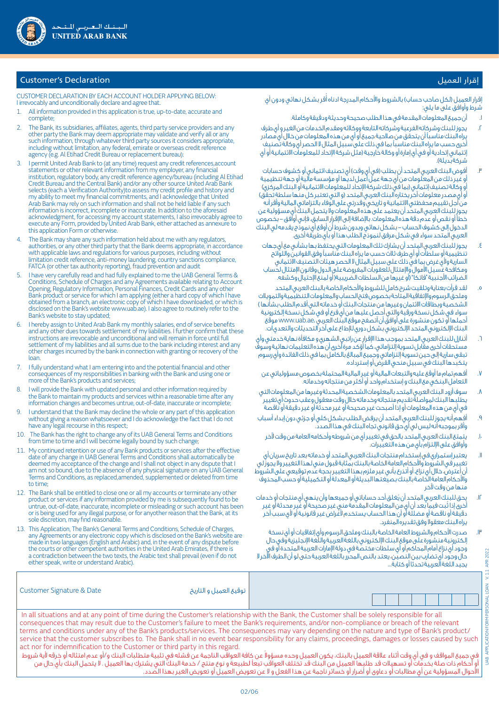

## **Customer's Declaration**

CUSTOMER DECLARATION BY EACH ACCOUNT HOLDER APPLYING BELOW: I irrevocably and unconditionally declare and agree that.

- 1. All information provided in this application is true, up-to-date, accurate and complete;
- 2. The Bank, its subsidiaries, affiliates, agents, third party service providers and any other party the Bank may deem appropriate may validate and verify all or any such information, through whatever third party sources it considers appropriate, including without limitation, any federal, emirate or overseas credit reference agency (e.g. Al Etihad Credit Bureau or replacement bureau):
- 1 permit United Arab Bank to (at any time) request any credit references,account statements or other relevant information from my employer, any financial institution, regulatory body, any credit reference agency/bureau (including Al Etihad Credit Bureau and the Central Bank) and/or any other source United Arab Bank selects (each a Verification Authority)to assess my credit profile and history and my ability to meet my financial commitments, and I acknowledge that United Arab Bank may rely on such information and shall not be held liable if any such information is incorrect, incomplete or inaccurate. In addition to the aforesaid acknowledgment, for accessing my account statements, I also irrevocably agree to execute any Form, provided by United Arab Bank, either attached as annexure to this application Form or otherwise.
- The Bank may share any such information held about me with any regulators, authorities, or any other third party that the Bank deems appropriate, in accordance with applicable laws and regulations for various purposes, including without limitation credit reference, anti-money laundering, country sanctions compliance, FATCA (or other tax authority reporting), fraud prevention and audit
- 5. I have very carefully read and had fully explained to me the UAB General Terms & Conditions, Schedule of Charges and any Agreements available relating to Account Opening, Regulatory Information, Personal Finances, Credit Cards and any other Bank product or service for which I am applying (either a hard copy of which I have obtained from a branch, an electronic copy of which I have downloaded, or which is disclosed on the Bank's website www.uab.ae). I also agree to routinely refer to the Bank's website to stay updated;
- 6. I hereby assign to United Arab Bank my monthly salaries, end of service benefits and any other dues towards settlement of my liabilities. I further confirm that these instructions are irrevocable and unconditional and will remain in force until full settlement of my liabilities and all sums due to the bank including interest and any other charges incurred by the bank in connection with granting or recovery of the loan.
- 7. I fully understand what I am entering into and the potential financial and other consequences of my responsibilities in banking with the Bank and using one or more of the Bank's products and services;
- I will provide the Bank with updated personal and other information required by the Bank to maintain my products and services within a reasonable time after any information changes and becomes untrue, out-of-date, inaccurate or incomplete;
- I understand that the Bank may decline the whole or any part of this application without giving a reason whatsoever and I do acknowledge the fact that I do not have any legal recourse in this respect;
- The Bank has the right to change any of its UAB General Terms and Conditions from time to time and I will become legally bound by such change;
- 11. My continued retention or use of any Bank products or services after the effective date of any change in UAB General Terms and Conditions shall automatically be deemed my acceptance of the change and I shall not object in any dispute that I am not so bound, due to the absence of any physical signature on any UAB General Terms and Conditions, as replaced,amended, supplemented or deleted from time to time;
- 12. The Bank shall be entitled to close one or all my accounts or terminate any other product or services if any information provided by me is subsequently found to be untrue, out-of-date, inaccurate, incomplete or misleading or such account has been or is being used for any illegal purpose, or for anyother reason that the Bank, at its sole discretion, may find reasonable.
- 13. This Application, The Bank's General Terms and Conditions, Schedule of Charges, any Agreements or any electronic copy which is disclosed on the Bank's website are made in two languages (English and Arabic) and, in the event of any dispute before the courts or other competent authorities in the United Arab Emirates, if there is a contradiction between the two texts, the Arabic text shall prevail (even if do not either speak, write or understand Arabic).

| عرار العمين |  |
|-------------|--|
|             |  |

إقرار العميل (لكل صاحب حساب) بالشروط والأحكام المدرجة ادناه أقربشكل نهائى ودون أى شرط وأوافق على ما يلي:

- . أن جميع المعلومات المقدمة في هذا الطلب صحيحة وحديثة ودقيقة وكاملة.
- . يجوز للبنك وشركاته الفرعية وشركاته التابعة ووكالئه ومقدم الخدمات من الغير و أي طرف يراه البنك مناسبًا أن يتحقق من صالحية جميع أو أي من هذه المعلومات من خالل أي مصادر أخرى حسب ما يراه البنك مناسبًا بما في ذلك على سبيل المثال ال الحصر أي وكالة تصنيف إئتماني إتحادية أو في أي إمارة أو وكالة خارجية )مثل شركة اإلتحاد للمعلومات االئتمانية أو أي شركة بُديلة).
- أفوض البنك العربى المتحد أن يطلب (فى أى وقت) أي تصنيف ائتمانى أو كشوف حسابات أو غير ذلك من المعلومات من أي جهة عمل أعمل لديها أو مؤسسة مالية أو جهة تنظيمية أو وكالة تصنيف إئتماني (بما في ذلك شركة الإتحاد للمعلومات الائتمانية أو البنك المركزي) أو أي مصدر معلومات آخر يختاره البنك العربي المتحد (و التي تعتبر كل منها سلطة تحقّق) من أجل تقييم محفظتي االئتمانية و تاريخي وقدرتي على الوفاء بالتزاماتي المالية وأقر أنه يجوز للبنك العربي المتحد أن يعتمد على هذه المعلومات وال يتحمل البنك أي مسؤولية عن خطأ أو نقص أو عدم دقة هذه المعلومات. باإلضافة إلى اإلقرار السابق، فإني أوافق - بخصوص الدخول إلى كشوف الحساب - بشكل نهائي وبدون شرط أن أوقع أي نموذج يقدمه لي البنك العربي المتحد سواء في شكل مرفق لنموذج الطلب هذا أو بأي طريقة أخرى.
- . يجوز للبنك العربي المتحد أن يشارك تلك المعلومات التي يحتفظ بها بشأني مع أي جهات تنظيمية أو سلطات أو أي طرف ثالث حسب ما يراه البنك مناسبًا وفق القوانين واللوائح السارية وألي غرض بما في ذلك على سبيل المثال ال الحصر هيئات التصنيف االئتماني ومكافحة غسيل األموال واإلمتثال للعقوبات المفروضة على الدول وقانون اإلمتثال لحساب الضرائب الأجنبية "فاتكا" (أو غيرها من السلطات الضريبية( أو لمنع الإحتيال وكشفه.
- . لقد قرأت بعناية وتلقيت شرح كامل للشروط واألحكام الخاصة بالبنك العربي المتحد وملحق الرسوم واإلتفاقية المتاحة بخصوص فتح الحساب والمعلومات التنظيمية والتمويالت الشخصية وبطاقات االئتمان وغيرها من منتجات البنك أو خدماته التي أقدم الطلب بشأنها ( سواء في شكل نسخة ورقية والتي أحصل عليها من أي فرع أو في شكل نسخة إلكترونية أحملها أو تكون منشورة على أوافق أن أتصفح موقع البنك العربي ،ae.uab.www موقع البنك اإللكتروني المتحد اإللكتروني بشكل دوري لإلط اع على آخر التحديثات والتعدي ات.
- . أتنازل للبنك العربي المتحد بموجب هذا اإلقرار عن راتبي الشهري و مكافأة نهاية خدمتي وأي مستحقات أخرى مقابل تسوية إلتزاماتي، كما أؤكد مرة أخرى أن هذه التعليمات نهائية وسوفً تبقى سارية إلى حين تسوية إلتزاماتى وجميع المبالغ بالكامل بما فى ذلك الفائدة وأي رسوم يتكبدها البنك في سبيل منحي القرض أو إسترداده.
	- . أفهم تمام ما أوقع عليه والتبعات المالية أو غير المالية المحتملة بخصوص مسؤولياتي عن التعامل البنكي مع البنك و إستخدام واحد أو أكثر من منتجاته وخدماته.
- . سوف أزود البنك العربي المتحد بالمعلومات الشخصية المحدثة وغيرها من المعلومات التي يطلبها البنك لمواصلة تقديم منتجاته وخدماته خالل وقت معقول وعقب حدوث أي تغيير في أي من هذه المعلومات أو إذا أصبحت غير صحيحة أو غير محدثة أو غير دقيقة أو ناقصة
- . أفهم أنه يجوز للبنك العربي المتحد أن يرفض الطلب بشكل كلي أو جزئي دون إبداء أسباب وأقر بموجبه أنه ليس لي أي حق قانوني تجاه البنك في هذا الصدد.
	- 10.يتمتع البنك العربي المتحد بالحق في تغيير أي من شروطه وأحكامه العامة من وقت آلخر وأوافق على اإللتزام بأي من هذه التغييرات.
- 11.يعتبر إستمراري في إستخدام منتجات البنك العربي المتحد أو خدماته بعد تاريخ سريان أي تغيير في الشروط واألحكام العامة الخاصة بالبنك بمثابة قبول مني لهذا التغيير وال يجوز لي أن أعترض، خالل أي نزاع، أو أتذرع بأني غير ملزم بهذا التغيير بحجة عدم توقيعي على الشروط واألحكام العامة الخاصة بالبنك بصيغتها البديلة أو المعدلة أو التكميلية أو حسب المحذوف منها من وقت آلخر
- ُ12. يحق للبنك العربي المتحد أن يغلق أحد حساباتي أو جميعها وأن ينهي أي منتجات أو خدمات ُ أخرى إذا ثبت فيما بعد أن أي من المعلومات المقدمة مني غير صحيحة أو غير محدثة أو غير دقيقة أو ناقصة أو مضللة أو أن هذا الحساب يستخدم ألغراض غير قانونية أو ألي سبب آخر يراه البنك معقولا وفق تقديره المنفرد.
- 13.صدرت األحكام والشروط العامة الخاصة بالبنك وملحق الرسوم وأي إتفاقيات أو أي نسخة إلكترونية منشورة على موقع البنك الإلكتروني باللغة العربية واللغة الإنجليزية وفي حال وجود أي نزاع أمام المحاكم أو أي سلطات مختصة في دولة اإلمارات العربية المتحدة أو في حال وجود أي تضارب بين النصين، يعتد بالنص المحرر باللغة العربية حتى لو أن الطرف اآلخر ال يجيد اللغة العربية تحدثا أو كتابة...

V.1.1 APR 2022 UAB APPLICATION FORM PERSONAL LOAN V. 1.1 APR 2022 APPLICATION FORM PERSONAL LOAN **BMD** 

| توقيع العميل و التاريخ |
|------------------------|
|------------------------|

Customer Signature & Date

 In all situations and at any point of time during the Customer's relationship with the Bank, the Customer shall be solely responsible for all consequences that may result due to the Customer's failure to meet the Bank's requirements, and/or non-compliance or breach of the relevant terms and conditions under any of the Bank's products/services. The consequences may vary depending on the nature and type of Bank's product/ service that the customer subscribes to. The Bank shall in no event bear responsibility for any claims, proceedings, damages or losses caused by such act nor for indemnification to the Customer or third party in this regard.

غى جميع المواقف و فى أى وقت أثناء علاقة العميل بالبنك، يكون العميل وحده مسؤولا عن كافة العواقب الناجمة عن فشله فى تلبية متطلبات البنك و/أو عدم امتثاله أو خرقه لأية شروط أو أحكام ذات صلة بخدمات أو تسهيلات قد طلبها العميل من البنك قد تختلف العواقب تبعاً لطبيعة و نوع منتج / خدمة البنك التي يشترك بها العميل . لا يتحمل البنك بأي حال من الأحوال المسؤولية عن أي مطالبات أو دعاوى أو أضرار أو خسائر ناجمة عن هذا الفعل و لا عن تعويض العميل أو تعويض الغير بهذا الصدد.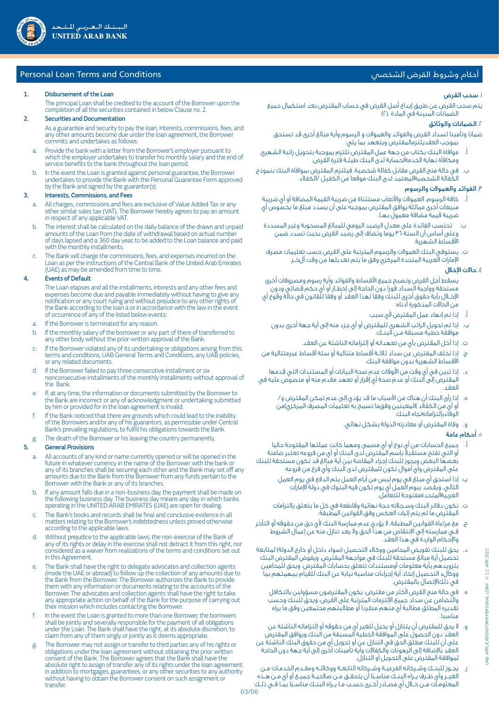## Personal Loan Terms and Conditions الشخصي القرض وشروط أحكام

#### 1. Disbursement of the Loan

The principal Loan shall be credited to the account of the Borrower upon the completion of all the securities contained in below Clause no. 2.

#### 2. Securities and Documentation

As a guarantee and security to pay the loan, interests, commissions, fees, and any other amounts become due under the loan agreement, the Borrower commits and undertakes as follows:

- a. Provide the bank with a letter from the Borrower's employer pursuant to which the employer undertakes to transfer his monthly salary and the end of service benefits to the bank throughout the loan period
- b. In the event the Loan is granted against personal guarantee, the Borrower undertakes to provide the Bank with the Personal Guarantee Form approved by the Bank and signed by the guarantor(s).

#### 3. Interests, Commissions, and Fees

- All charges, commissions and fees are exclusive of Value Added Tax or any other similar sales tax (VAT). The Borrower hereby agrees to pay an amount in respect of any applicable VAT.
- The interest shall be calculated on the daily balance of the drawn and unpaid amounts of the Loan from the date of withdrawal based on actual number of days lapsed and a 360 day year, to be added to the Loan balance and paid with the monthly installments.
- c. The Bank will charge the commissions, fees, and expenses incurred on the Loan as per the instructions of the Central Bank of the United Arab Emirates (UAE) as may be amended from time to time.

#### 4. Events of Default

The Loan elapses and all the installments, interests and any other fees and expenses become due and payable immediately without having to give any notification or any court ruling and without prejudice to any other rights of the Bank according to the loan a or in accordance with the law in the event of occurrence of any of the listed below events:

- If the Borrower is terminated for any reasor.
- b. If the monthly salary of the borrower or any part of there of transferred to any other body without the prior written approval of the Bank.
- c. If the Borrower violated any of its undertaking or obligations arising from this terms and conditions, UAB General Terms and Conditions, any UAB policies, or any related documents.
	- If the Borrower failed to pay three consecutive installment or six nonconsecutive installments of the monthly installments without approval of the Bank.
	- If, at any time, the information or documents submitted by the Borrower to the Bank are incorrect or any of acknowledgment or undertaking submitted by him or provided for in the loan agreement is invalid.
	- If the Bank noticed that there are grounds which could lead to the inability of the Borrowers and/or any of his guarantors, as permissible under Central Bank's prevailing regulations, to fulfill his obligations towards the Bank.
	- The death of the Borrower or his leaving the country permanently.

## 5. General Provisions

- a. All accounts of any kind or name currently opened or will be opened in the future in whatever currency in the name of the Borrower with the bank or any of its branches shall be securing each other and the Bank may set off any amounts due to the Bank from the Borrower from any funds pertain to the Borrower with the Bank or any of its branches.
	- If any amount falls due in a non-business day, the payment shall be made on the following business day. The business day means any day in which banks operating in the UNITED ARAB EMIRATES (UAE) are open for dealing.
	- The Bank's books and records shall be final and conclusive evidence in all matters relating to the Borrower's indebtedness unless proved otherwise according to the applicable laws.
- d. Without prejudice to the applicable laws, the non-exercise of the Bank of any of its rights or delay in the exercise shall not detract it from this right, nor considered as a waiver from realizations of the terms and conditions set out in this Agreement.
	- The Bank shall have the right to delegate advocates and collection agents (inside the UAE or abroad) to follow up the collection of any amounts due to the Bank from the Borrower. The Borrower authorizes the Bank to provide them with any information or documents relating to the accounts of the Borrower. The advocates and collection agents shall have the right to take any appropriate action on behalf of the Bank for the purpose of carrying out their mission which includes contacting the Borrower.
	- In the event the Loan is granted to more than one Borrower, the borrowers shall be jointly and severally responsible for the payment of all obligations under the Loan. The Bank shall have the right, at its absolute discretion, to claim from any of them singly or jointly as it deems appropriate.
	- The Borrower may not assign or transfer to third parties any of his rights or obligations under the loan agreement without obtaining the prior written consent of the Bank. The Borrower agrees that the Bank shall have the absolute right to assign of transfer any of its rights under the loan agreement in addition to mortgages, guarantees, or any other securities to any authority without having to obtain the Borrower consent on such assignment or transfer.

#### ا. سحب القرض

يتم سحب القرض عن طريق إيداع أصل القرض في حساب المقترض بعد استكمال جميع الضمانات المبينة في المادة .)2(

## .2 الضمانات والوثائق

ضمانا وتأمينا لسداد القرض والفوائد والعمولات و الرسوم وأية مبالغ أخرى قد تستحق بموجب العقديلتزمالمفترض ويتعهد بما يلي:

- أ. موافاة البنك بكتاب من جهة عمل المقترض تلتزم بموجبة بتحويل راتبة الشهري ومكافأة نهاية الخدمةلحسابة لدى البنك طيلــة فترة القرض.
- ب. في حالة منح القرض مقابل كفالة شخصية، فيلتزم المقترض بموافاة البنك بنموذج الكفالة الشخصيةالمعتمد لدى البنك موقعا من الكفيل /الكفلاء.

## .3 الفوائد والعموالت والرسوم

- أ. كافة الرسوم، العمولات والأتعاب مستثناة من ضريبة القيمة المضافة أو أي ضريبة مبيعات أخرى مماثلة.يوافق المقترض بموجبه على أن يسدد مبلغ ما بخصوص أي ضريبة قيمة مضافة معمول بهــا.
- ب. تحتسب الفائدة على معدل الرصيد اليومي للمبالغ المسحوبة وغير المسددة وعلى أساس أن السنة360 يوما وتضاف إلى رصيد القرض بحيث تسدد ضمن الأقساط الشهرية.
- ت. يستوفي البنك العمولات والرسوم المترتبة على القرض حسب تعليمات مصرف الإمارات العربية المتحدة المركزي وفق ما يتم تعديلها من وقت آلخــر.

## ٤. حالات الإخلال

 يسقط أجل القرض وتصبح جميع الأقساط والفوائد وأية رسوم ومصروفات أخرى مستحقة وواجبة السداد فورا دون الحاجة إلى إخطــار أو أي حكم قضائي ودون الإخــلال بأية حقوق أخرى للبنك وفقا لهذا العقد أو وفقا للقانون في حالة وقوع أي من الحالات المذكورة أدناه:

- أ. إذا تم إنهاء عمل المقترض ألي سبب.
- ب. إذا تم تحويل الراتب الشهرى للمقترض أو أي جزء منه إلى أية جهة أخرى بدون موافقة خطية مسبقة مــن البنــك.
	- ت. إذا أخل المقترض بأي من تعهداته أو إلتزاماته الناشئة عن العقد.
- ج. إذا تخلف المقترض عن سداد ثلاثــة أقساط متتالية أو ستة أقساط غيرمتتالية من الأقساط الشهرية بدون موافقة البنك.
- د. إذا تبين في أي وقت من الأوقات عدم صحة البيانات أو المستندات التي قدمها ية.<br>المقترض إلى البنك أو عدم صحة أي إقرار أو تعهد مقدم منه أو منصوص عليه في العقد.
	- ه. إذا رأى البنك أن هناك من الأسباب ما قد يؤدي إلى عدم تمكن المقترض و/ أو أي من الكفلاء )المعينين وفقما تسمح به تعليمات المصرف المركزي)من الوفاءبإلتزاماتهتجاه البنك.
		- و. وفاة المقترض أو مغادرته الدولة بشكل نهائي.

## .5 أحكام عامة

- جميع الحسابات من أي نوع أو أي مسمى ومهما كانت عملتها المفتوحة حاليا أو التي تفتح مستقبلا بإسم المقترض لدى البنك أو أي من فروعه تعتبر ضامنة بعضها البعض ويجوز للبنك إجراء المقاصة بين أية مبالغ قد تكون مستحقة للبنك على المقترض وأي أموال تكون للمقترض لدى البنك وأي فرع من فروعه.
	- ب. إذا استحق أي مبلغ في يوم ليس من أيام العمل يتم الدفع في يوم العمل التالي. ويقصد بيوم العمل أي يوم تكون فيه البنوك في دولة الإمارات العربيةالمتحدةمفتوحة للتعامل.
	- تكون دفاتر البنك وسـجلاته حجة نهائية وقاطعة في كل ما يتعلق بإلتزامات المقترض ما لم يتم إثبات العكس وفق القوانين المطبقة.
- ج. مع مراعاة القوانين المطبقة، لا يؤدي عدم ممارسة البنك ألي حق من حقوقه أو التأخر فــي ممارسته إلى الإنتقاص من هذا الحق ولا يعد تنازل منه عن إعمال الشروط والإحكام الواردة في هذا العقد.
- د. يحق للبنك تفويض المحامين ووكلاء التحصيل (سواء داخل او خارج الدولة) لمتابعة لل اية مبالغ مستحقة للبنك في مواجهة المقترض. ويفوض المقترض البنك بتزويدهم بأية معلومات أومستندات تتعلق بحسابات المقترض. ويحق للمحامين ووكآلء التحصيل إتخاذ أية إجراءات مناسبة نيابة عن البنك للقيام بمهمتهم بما في ذلكالإتصال بالمقترض.
	- ه. في حالة منح القرض لأكثر من مقترض، يكون المقترضون مسؤولين بالتكافل والتضامن عن سداد جميع الإلتزمات المترتبة على القرض، ويحق للبنك وحسب تقديره المطلق مطالبة أي منهم منفردا أو مطالبتهم مجتمعين وفق ما يراه مناسبا.
- و. لا يحق للمقترض أن يتنازل أو يحيل للغير أي من حقوقه أو إلتزاماته الناشئة عن العقد دون الحصول على الموافقة الخطية المسبقة من البنك.ويوافق المقترض على أن للبنك مطلق الحق في التنازل عن أو تحويل أي من حقوق البنك الناشئة عن العقد بالإضافة إلى الرهونات والكفالإت وأية تأمينات أخرى إلى أية جهة دون الحاجة لموافقة المقترض على التحويل أو التنازل.
- ز. يجــوز للبنــك وشــركاته الفرعيــة وشــركاته التابعــة ووكلائــه ومقــدم الخدمــات مــن الغيــر وأي طــرف يــراه البنــك مناســ ًبا أن يتحقــق مــن صلاحيــة جميــع أو أي مــن هــذه المعلومــات مــن خــلال أي مصــادر أخــرى حســب مــا يــراه البنــك مناســ ًبا بمــا فــي ذلــك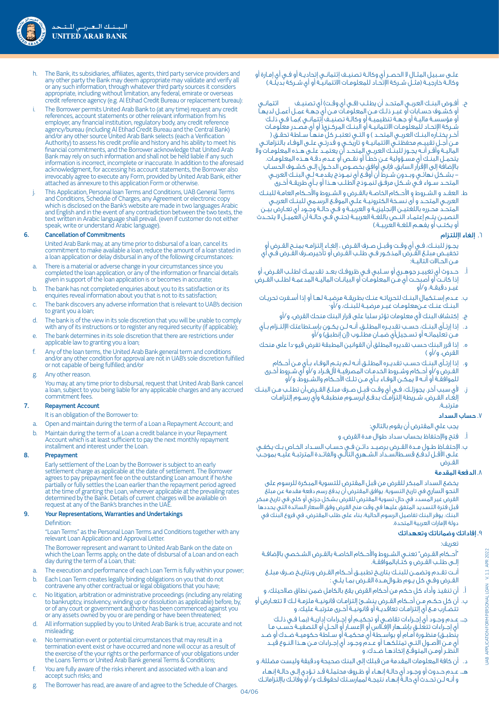علــى ســبيل المثــال لا الحصــر أي وكالــة تصنيــف إئتمانــي إتحاديــة أو فــي أي إمــارة أو وكالـة خارجيــة (مثــل شــركة الإتحـاد للمعلومـات الائتمانيــّة أو أي شــركة بديلـة.)

- ح. افــوض البنــك العربــى المتحــد ان يطـلــب (فــى اى وقــت) اى تصنيــف ائتمانــى أو كشــوف حســابات أو غيــر ذلــك مــن المعلومــات مــن أي جهــة عمــل أعمــل لديهــا أو مؤسســة ماليــة أو جهــة تنظيميــة أو وكالــة تصنيــف إئتمانــي (بمــا فــي ذلــك شــركة الإتحــاد للمعلومــات الائتمانيــة أو البنــك المركــزي) أو أي مصــدر معلومــات آخـر يختـاره البنـك العربـى المتحـد ) و التـى تعتبـر كلّ منهـاً سـلطة تحقـق ( مــن أجــل تقييــم محفظتــي الائتمانيــة و تاريخــي و قدرتــي علــى الوفــاء بالتزاماتــي الماليــة وأقــر أنــه يجــوز للبنــك العربــي المتحــد أن يعتمــد علــى هــذه المعلومــات ولا يتحمــل البنــك أي مســؤولية عــن خطــأ أو نقــص أو عــدم دقــة هــذه المعلومــات. بالإضافة إلى الإقرار السابق، فإني أوافق بخصــوص الدخــول إلــى كشــوف الحســاب - بشــكل نهائــي وبــدون شــرط أن أوقــع أي نمــوذج يقدمــه لــي البنــك العربــي المتحــد ســواء فــي شــكل مرفــق لنمــوذج الطلــب هــذا أو بــأي طريقــة أخــرى
- ط. العقــد و الشــروط و الأحــكام الخاصــة بالقــرض و الشــروط والأحــكام العامــة للبنــك العربــي المتحــد و أى نســخة الكترونيــة علــي الموقــع الرســمي للبنــك العربــي المتحــد محـرره باللغتيــن الإنجليزيــة و العربيــة و فــي حالــة وجــود أي تعــارض بيّــن النصيــن يتــمَ إعتمـاد النــص باللغــة العربيــة (حتــي فــي حالــة أن العميــل لا يتحــدث أو يكتـب أو يفهـم اللغـة العربيـة.)

## .6 إلغاء اإللتزام

- يجــوز للبنــك، فــي أي وقــت وقبــل صــرف القــرض ، إلغــاء إلتزامــه بمنــح القــرض أو تخفيــض مبلــغ القــرض المذكــور فــي طلــب القــرض أو تأخيرصــرف القــرض فــي أي مــن الحــالات التاليــة:
- أ. حــدوث أي تغييــر جوهــري أو ســلبي فــي ظروفــك بعــد تقديمــك لطلــب القــرض، أو إذا كانــت أو أصبحــت أي مــن المعلومــات أو البيانــات الماليــة المدعمــة لطلــب القــرض غيــر دقيقــة، و/أو
- ب. عــدم إســتكمال البنــك لتحرياتــه عنــك بطريقــة مرضيــة لهــا أو إذا أســفرت تحريــات البنــك عنــك عــنمعلومــات غيــر مرضيــة للبنــك، و/أو
	- ج. إكتشاف البنك ألي معلومات تؤثر سلبا على قرار البنك منحك القرض، و/أو
- د. إذا إرتــآى البنــك، حســب تقديــره المطلــق، أنــه لــن يكــون بإســتطاعتك الإلتــزام بــأي .<br>مـن تعليماتـه أو تسـجيل|أي ضمـان مطلـوب (إن إنطبق) و/أو
- ه. إذا قرر البنك حسب تقديره المطلق ان القوانين المطبقة تفرض قيو-دا على منحك<br>القصدات القرض، و/أو )
- و. إذا إرتــآى البنــك حســب تقديــره المطلــق أنــه لــم يتــم الوفــاء بــأي مــن أحــكام القــرض و/أو أحــكام وشــروط الخدمــات المصرفيــة لألفــراد و/أو أي شــروط أخــرى للموافقــة أو أنــه لا يمكــن الوفــاء بــأي مــن تلــك الأحــكام والشــروط، و/أو
- ز. لأي سبب آخر. يجوزلــك، فــي أي وقــت قبــل صــرف مبلــغ القــرض،أن تطلــب مــن البنــك إلغــاء القــرض، شــريطة إلتزامــك بدفــع أيرســوم منطبقــة وأي رســوم إلتزامــات مترتبــة.

## .7 حساب السداد

- يجب علي المقترض أن يقوم بالتالي:
- أ. فتح والإحتفاظ بحساب سداد طوال مدة القرض، و
- ب. الإحتفــاظ طــول مــدة القــرض برصيــد دائــن فــي حســاب الســداد الخــاص بــك يكفــي علــى الأقــل لدفــع قســطالســداد الشــهري التالــي والفائــدة المترتبــة عليــه بموجــب القــرض

## .8 الدفعة المقدمة

يخضع السداد المبكر للقرض من قبل المقترض للتسوية المبكرة للرسوم على النحو الساري في تاريخ التسوية. يوافق المقترض أن يدفع رسم دفعة مقدمة عن مبلغ القرض غير المسدد في حال تسوية المقترض للقرض بشكل جزئي أو كلي في تاريخ مبكر قبل فترة التسديد المتفق عليها في وقت منح القرض وفق األسعار السائدة التي يحددها البنك. يوفر البنك تفاصيل الرسوم الحالية، بناء على طلب المقترض، في فروع البنك في دولة اإلمارات العربية المتحدة.

## .9 إفاداتك وضماناتك وتعهداتك

تعريف:

- "أحــكام القــرض" تعنــي الشــروط والأحــكام الخاصــة بالقــرض الشــخصي بالإضافــة إلــى طلــب القــرض و كتــابالموافقــة.
- أنــت تقــدم وتضمــن للبنــك بتاريــخ تطبيــق أحــكام القــرض وبتاريــخ صــرف مبلــغ القــرض وفــي كل يــوم طــوالمــدة القــرض بمــا يلــي :
- أ. أن تنفيذ وأداء كل حكم من أحكام القرض يقع بالكامل ضمن نطاق صلاحيتك، و
- ب. أن كل حكــم مــن أحــكام القــرض ينشــئ إلتزامــات قانونيــة ملزمــة لــك لا تتعــارض أو تتضــارب مــع أي إلتزامــات تعاقديــة أو قانونيــة أخــرى مترتبــة عليك، و
	- جـــ. عــدم وجــود أي إجــراءات تقاضــي أو تحكيــم أو إجــراءات إداريــة )بمــا فــي ذلــك أي إجــراءات تتعلــق بإشــهار الإفــلاس أو الإعســار أو الحــل أو التصفيــة حســب مــا يتَطبــق) منظـورة أمـام أو بواســطة أي محكمـة أو ســلطة حكوميــة ضــدك أو ضــد أي مــن الأصــول التــي تمتلكهــا أو عــدم وجــود أي إجــراءات مــن هــذا النــوع قيــد النظــر أومــن المتوقــع إتخاذهــا ضــدك، و
- د. أن كافة المعلومات المقدمة من قبلك إلى البنك صحيحة ودقيقة وليست مضللة، و هـــ. عــدم حــدوث أو وجــود أي حالــة إنهــاء أو ظــروف محتملــة قــد تــؤدي إلــى حالــة إنهــاء و أنــه لــن تحــدث أي حالــة إنهــاء نتيجــة لممارســتك لحقوقــك و/ أو وفائــك باإلتزاماتــك
- h. The Bank, its subsidiaries, affiliates, agents, third party service providers and any other party the Bank may deem appropriate may validate and verify all or any such information, through whatever third party sources it considers appropriate, including without limitation, any federal, emirate or overseas credit reference agency (e.g. Al Etihad Credit Bureau or replacement bureau):
- i. The Borrower permits United Arab Bank to (at any time) request any credit references, account statements or other relevant information from his employer, any financial institution, regulatory body, any credit reference agency/bureau (including Al Etihad Credit Bureau and the Central Bank) and/or any other source United Arab Bank selects (each a Verification Authority) to assess his credit profile and history and his ability to meet his financial commitments, and the Borrower acknowledge that United Arab Bank may rely on such information and shall not be held liable if any such information is incorrect, incomplete or inaccurate. In addition to the aforesaid acknowledgment, for accessing his account statements, the Borrower also irrevocably agree to execute any Form, provided by United Arab Bank, either attached as annexure to this application Form or otherwise.
	- This Application, Personal loan Terms and Conditions, UAB General Terms and Conditions, Schedule of Charges, any Agreement or electronic copy which is disclosed on the Bank's website are made in two languages Arabic and English and in the event of any contradiction between the two texts, the text written in Arabic language shall prevail. (even if customer do not either speak, write or understand Arabic language).

## 6. Cancellation of Commitments

United Arab Bank may, at any time prior to disbursal of a loan, cancel its commitment to make available a loan, reduce the amount of a loan stated in a loan application or delay disbursal in any of the following circumstances:

- a. There is a material or adverse change in your circumstances since you completed the loan application, or any of the information or financial details given in support of the loan application is or becomes in accurate;
	- The bank has not completed enquiries about you to its satisfaction or its enquiries reveal information about you that is not to its satisfaction;
	- The bank discovers any adverse information that is relevant to UAB's decision to grant you a loan;
- d. The bank is of the view in its sole discretion that you will be unable to comply with any of its instructions or to register any required security (if applicable);
	- e. The bank determines in its sole discretion that there are restrictions under applicable law to granting you a loan;
	- Any of the loan terms, the United Arab Bank general term and conditions and/or any other condition for approval are not in UAB's sole discretion fulfilled or not capable of being fulfilled; and/or
	- Any other reason.

You may, at any time prior to disbursal, request that United Arab Bank cancel a loan, subject to you being liable for any applicable charges and any accrued commitment fees.

## 7. Repayment Account

It is an obligation of the Borrower to:

- a. Open and maintain during the term of a Loan a Repayment Account; and
- b. Maintain during the term of a Loan a credit balance in your Repayment Account which is at least sufficient to pay the next monthly repayment installment and interest under the Loan.

## 8. Prepayment

Early settlement of the Loan by the Borrower is subject to an early settlement charge as applicable at the date of settlement. The Borrower agrees to pay prepayment fee on the outstanding Loan amount if he/she partially or fully settles the Loan earlier than the repayment period agreed at the time of granting the Loan, wherever applicable at the prevailing rates determined by the Bank. Details of current charges will be available on request at any of the Bank's branches in the UAE

# 9. Your Representations, Warranties and Undertakings

**Definition:** 

"Loan Terms" as the Personal Loan Terms and Conditions together with any relevant Loan Application and Approval Letter.

The Borrower represent and warrant to United Arab Bank on the date on which the Loan Terms apply, on the date of disbursal of a Loan and on each day during the term of a Loan, that:

- The execution and performance of each Loan Term is fully within your power;
- b. Each Loan Term creates legally binding obligations on you that do not contravene any other contractual or legal obligations that you have;
- c. No litigation, arbitration or administrative proceedings (including any relating to bankruptcy, insolvency, winding up or dissolution as applicable) before, by, or of any court or government authority has been commenced against you or any assets owned by you or are pending or have been threatened;
- d. All information supplied by you to United Arab Bank is true, accurate and not misleading;
- e. No termination event or potential circumstances that may result in a termination event exist or have occurred and none will occur as a result of the exercise of the your rights or the performance of your obligations under the Loans Terms or United Arab Bank general Terms & Conditions;
- You are fully aware of the risks inherent and associated with a loan and accept such risks; and
- g. The Borrower has read, are aware of and agree to the Schedule of Charges.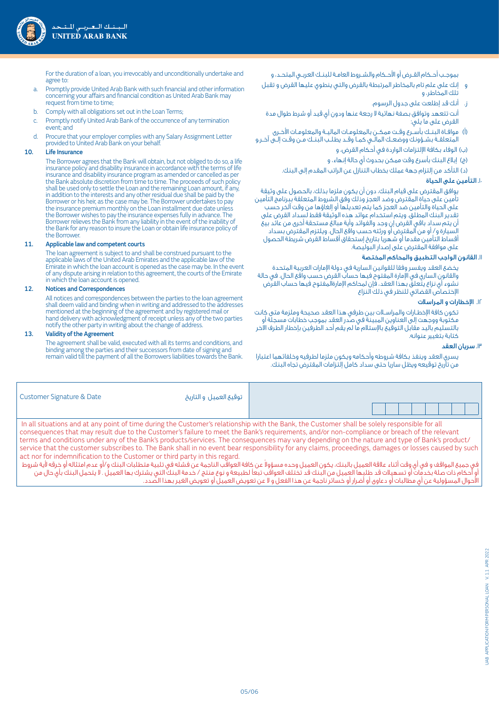

بموجــب أحــكام القــرض أو الأحــكام والشــروط العامــة للبنــك العربــي المتحــد، و

- و إنك على علم تام بالمخاطر المرتبطة بالقرض والتي ينطوي عليها القرض و تقبل تلك المخاطر، و
	- ز. أنك قد إطلعت على جدول الرسوم.
- أنت تتعهد وتوافق بصفة نهائية لا رجعة عنها ودون أي قيد أو شرط طوال مدة القرض على ما يلي:
- )أ( موافــاة البنــك بأســرع وقــت ممكــن بالمعلومــات الماليــة والمعلومــات الأخــرى المتعلقــة بشــؤونك ووضعــك المالــي كمــا وقــد يطلــب البنــك مــن وقــت إلــى آخــر،و )ب( الوفاء بكافة الإلتزامات الواردة في أحكام القرض، و

)ج( إبلاغ البنك بأسرع وقت ممكن بحدوث أي حالة إنهاء، و

)د( التأكد من إلتزام جهة عملك بخطاب التنازل عن الراتب المقدم إلى البنك.

## .10 التأمين على الحياة

 يوافق المقترض على قيام البنك، دون أن يكون ملزما بذلك، بالحصول على وثيقة تأمين على حياة المقترض وضد العجز وذلك وفق الشروط المتعلقة ببرنامج التأمين على الحياة والتأمين ضد العجز كما يتم تعديلها أو إلغاؤها من وقت آلخر حسب تقدير البنك المطلق. ويتم استخدام عوائد هذه الوثيقة فقط لسداد القرض على أن يتم سداد باقي القرض إن وجد والفوائد وأية مبالغ مستحقة أخرى من عائد بيع السيارة و/ أو من المقترض أو ورثته حسب واقع الحال. ويلتزم المقترض بسداد أقساط التأمين مقدما أو شهريا بتاريخ إستحقاق أقساط القرض شريطة الحصول على موافقة المقترض على إصدار البوليصة.

## .11 القانون الواجب التطبيق والمحاكم المختصة

 يخضع العقد ويفسر وفقا للقوانين السارية في دولة الإمارات العربية المتحدة والقانون الساري في الإمارة المفتوح فيها حساب القرض حسب واقع الحال. في حالة نشوء أي نزاع يتعلق بهذا العقد، فإن لمحاكم الإمارةالمفتوح فيها حساب القرض الإختصاص القضائي للنظر في ذلك النزاع

## .12 اإلخطارات و المراسالت

 تكون كافة الإخطــارات والمراســلات بين طرفي هذا العقد صحيحة وملزمة متى كانت مكتوبة ووجهت إلى العناوين المبينة في صدر العقد بموجب خطابات مسجلة أو بالتسليم باليد مقابل التوقيع بالإستلام ما لم يقم أحد الطرفين بإخطار الطرف الاخر كتابة بتغيير عنوانه.

## .13 سريان العقد

 يسري العقد وينفذ بكافة شروطه وأحكامه ويكون ملزما لطرفيه وخلفائهما اعتبارا من تاريخ توقيعه ويظل ساريا حتى سداد كامل إلتزامات المقترض تجاه البنك.

| a. Promptly provide United Arab Bank with such financial and other information |
|--------------------------------------------------------------------------------|
| concerning your affairs and financial condition as United Arab Bank may        |
| request from time to time;                                                     |

For the duration of a loan, you irrevocably and unconditionally undertake and

- b. Comply with all obligations set out in the Loan Terms;
- c. Promptly notify United Arab Bank of the occurrence of any termination event; and
- d. Procure that your employer complies with any Salary Assignment Letter provided to United Arab Bank on your behalf.

## 10. Life Insurance

agree to:

The Borrower agrees that the Bank will obtain, but not obliged to do so, a life insurance policy and disability insurance in accordance with the terms of life insurance and disability insurance program as amended or cancelled as per the Bank absolute discretion from time to time. The proceeds of such policy shall be used only to settle the Loan and the remaining Loan amount, if any, in addition to the interests and any other residual due shall be paid by the Borrower or his heir, as the case may be. The Borrower undertakes to pay the insurance premium monthly on the Loan installment due date unless the Borrower wishes to pay the insurance expenses fully in advance. The Borrower relieves the Bank from any liability in the event of the inability of the Bank for any reason to insure the Loan or obtain life insurance policy of the Borrower.

## 11. Applicable law and competent courts

 The loan agreement is subject to and shall be construed pursuant to the applicable laws of the United Arab Emirates and the applicable law of the Emirate in which the loan account is opened as the case may be. In the event of any dispute arising in relation to this agreement, the courts of the Emirate in which the loan account is opened.

## 12. Notices and Correspondences

All notices and correspondences between the parties to the loan agreement shall deem valid and binding when in writing and addressed to the addresses mentioned at the beginning of the agreement and by registered mail or hand delivery with acknowledgment of receipt unless any of the two parties notify the other party in writing about the change of address.

## 13. Validity of the Agreement

The agreement shall be valid, executed with all its terms and conditions, and binding among the parties and their successors from date of signing and remain valid till the payment of all the Borrowers liabilities towards the Bank.

| Customer Signature & Date                                                                                                                    | توقيع العميل و التاريخ |  |
|----------------------------------------------------------------------------------------------------------------------------------------------|------------------------|--|
| In all cituations and at any point of time during the Qustomer's relationship with the Rapk the Qustomer shall be solely respectible for all |                        |  |

 In all situations and at any point of time during the Customer's relationship with the Bank, the Customer shall be solely responsible for all consequences that may result due to the Customer's failure to meet the Bank's requirements, and/or non-compliance or breach of the relevant terms and conditions under any of the Bank's products/services. The consequences may vary depending on the nature and type of Bank's product/ service that the customer subscribes to. The Bank shall in no event bear responsibility for any claims, proceedings, damages or losses caused by such act nor for indemnification to the Customer or third party in this regard.

غى جميع المواقف و في أي وقت أثناء علاقة العميل بالبنك، يكون العميل وحده مسؤولا عن كافة العواقب الناجمة عن فشله في تلبية متطلبات البنك و/أو عدم امتثاله أو خرقه لأية شروط و أحكام ذات صلة بخدمات أو تسهيلات قد طلبها العميل من البنك قد تختلف العواقب تبعاً لطبيعة و نوع منتج / خدمة البنك التي يشترك بها العميل . لا يتحمل البنك بأو حال من الأحوال المسؤولية عن أي مطالبات أو دعاوى أو أضرار أو خسائر ناجمة عن هذا الفعل و لا عن تعويض العميل أو تعويض الغير بهذا الصّدد.